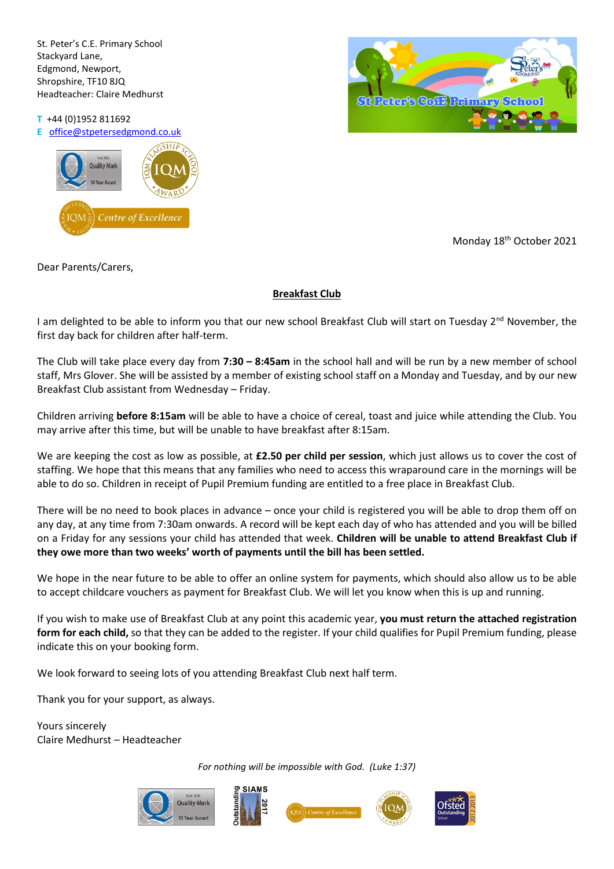St. Peter's C.E. Primary School Stackyard Lane, Edgmond, Newport, Shropshire, TF10 8JQ Headteacher: Claire Medhurst

**T** +44 (0)1952 811692

**E** [office@stpetersedgmond.co.uk](mailto:office@stpetersedgmond.co.uk)





Monday 18<sup>th</sup> October 2021

Dear Parents/Carers,

## **Breakfast Club**

I am delighted to be able to inform you that our new school Breakfast Club will start on Tuesday 2<sup>nd</sup> November, the first day back for children after half-term.

The Club will take place every day from **7:30 – 8:45am** in the school hall and will be run by a new member of school staff, Mrs Glover. She will be assisted by a member of existing school staff on a Monday and Tuesday, and by our new Breakfast Club assistant from Wednesday – Friday.

Children arriving **before 8:15am** will be able to have a choice of cereal, toast and juice while attending the Club. You may arrive after this time, but will be unable to have breakfast after 8:15am.

We are keeping the cost as low as possible, at **£2.50 per child per session**, which just allows us to cover the cost of staffing. We hope that this means that any families who need to access this wraparound care in the mornings will be able to do so. Children in receipt of Pupil Premium funding are entitled to a free place in Breakfast Club.

There will be no need to book places in advance – once your child is registered you will be able to drop them off on any day, at any time from 7:30am onwards. A record will be kept each day of who has attended and you will be billed on a Friday for any sessions your child has attended that week. **Children will be unable to attend Breakfast Club if they owe more than two weeks' worth of payments until the bill has been settled.**

We hope in the near future to be able to offer an online system for payments, which should also allow us to be able to accept childcare vouchers as payment for Breakfast Club. We will let you know when this is up and running.

If you wish to make use of Breakfast Club at any point this academic year, **you must return the attached registration form for each child,** so that they can be added to the register. If your child qualifies for Pupil Premium funding, please indicate this on your booking form.

We look forward to seeing lots of you attending Breakfast Club next half term.

Thank you for your support, as always.

Yours sincerely Claire Medhurst – Headteacher

*For nothing will be impossible with God. (Luke 1:37)*









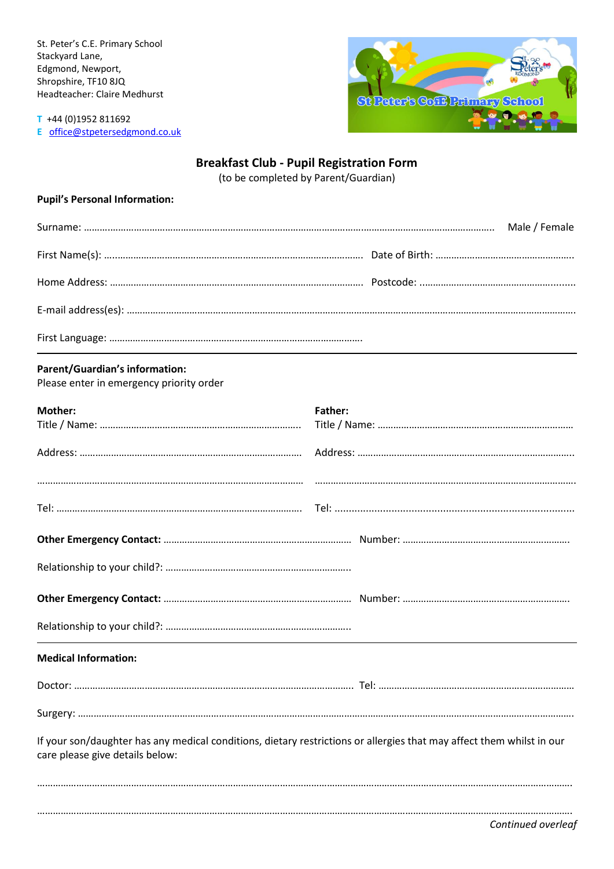St. Peter's C.E. Primary School Stackyard Lane, Edgmond, Newport, Shropshire, TF10 8JQ Headteacher: Claire Medhurst



**T** +44 (0)1952 811692 **E** [office@stpetersedgmond.co.uk](mailto:office@stpetersedgmond.co.uk)

# **Breakfast Club - Pupil Registration Form**

(to be completed by Parent/Guardian)

## **Pupil's Personal Information:**

#### **Parent/Guardian's information:**

Please enter in emergency priority order

| Mother:                                                                                                                                                  | Father: |  |  |  |
|----------------------------------------------------------------------------------------------------------------------------------------------------------|---------|--|--|--|
|                                                                                                                                                          |         |  |  |  |
|                                                                                                                                                          |         |  |  |  |
|                                                                                                                                                          |         |  |  |  |
|                                                                                                                                                          |         |  |  |  |
|                                                                                                                                                          |         |  |  |  |
|                                                                                                                                                          |         |  |  |  |
|                                                                                                                                                          |         |  |  |  |
|                                                                                                                                                          |         |  |  |  |
|                                                                                                                                                          |         |  |  |  |
|                                                                                                                                                          |         |  |  |  |
| <b>Medical Information:</b>                                                                                                                              |         |  |  |  |
|                                                                                                                                                          |         |  |  |  |
|                                                                                                                                                          |         |  |  |  |
|                                                                                                                                                          |         |  |  |  |
| If your son/daughter has any medical conditions, dietary restrictions or allergies that may affect them whilst in our<br>care please give details below: |         |  |  |  |
|                                                                                                                                                          |         |  |  |  |
|                                                                                                                                                          |         |  |  |  |

*Continued overleaf*